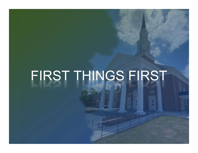## FIRST THINGS FIRST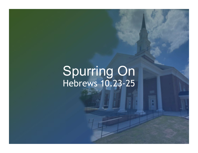### Spurring On Hebrews 10.23-25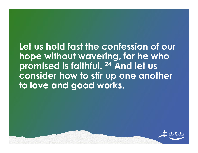Let us hold fast the confession of our hope without wavering, for he who promised is faithful. 24 And let us consider how to stir up one another to love and good works,

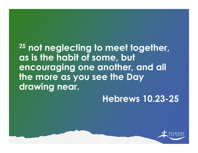### <sup>25</sup> not neglecting to meet together, as is the habit of some, but encouraging one another, and all the more as you see the Day drawing near.

### Hebrews 10.23-25

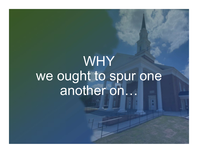# WHY we ought to spur one<br>another on...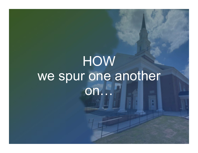### **HOW** we spur one another on...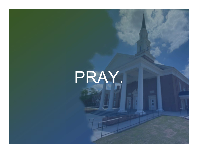# PRAY.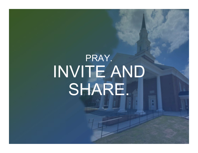## PRAY.INVITE AND SHARE.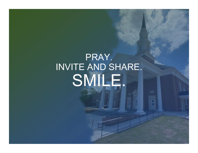## PRAY. INVITE AND SHARE.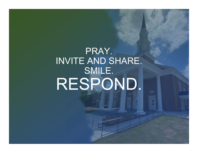## PRAY. INVITE AND SHARE. SMILE.<br>RESPOND.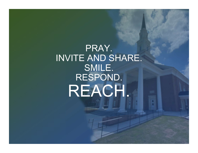PRAY. INVITE AND SHARE. SMILE. RESPOND.REACH.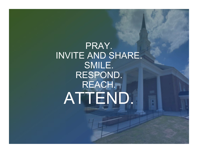### PRAY. INVITE AND SHARE. SMILE. RESPOND. REACH.ATTEND.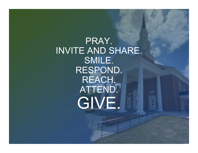PRAY. INVITE AND SHARE. SMILE. RESPOND. REACH. ATTEND.GIVE.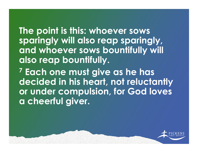The point is this: whoever sows sparingly will also reap sparingly, and whoever sows bountifully will also reap bountifully.

7 Each one must give as he has decided in his heart, not reluctantly or under compulsion, for God loves a cheerful giver.

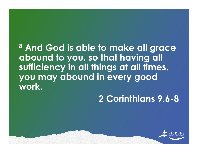### 8 And God is able to make all grace abound to you, so that having all sufficiency in all things at all times, you may abound in every good work.

### 2 Corinthians 9.6-8

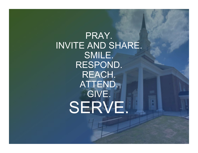PRAY. INVITE AND SHARE. SMILE. RESPOND. REACH. ATTEND. GIVE.SERVE.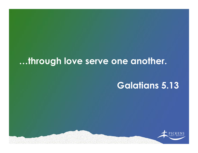### …through love serve one another.

#### Galatians 5.13